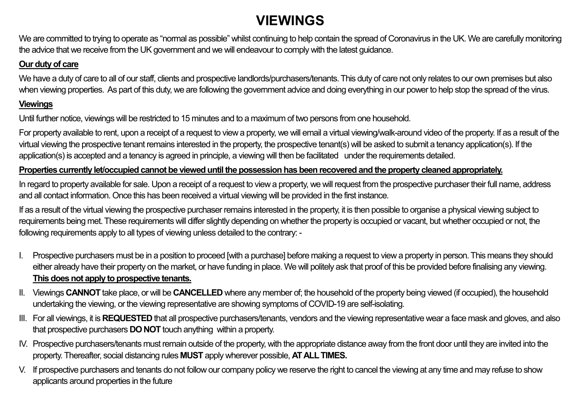# **VIEWINGS**

We are committed to trying to operate as "normal as possible" whilst continuing to help contain the spread of Coronavirus in the UK. We are carefully monitoring the advice that we receive from the UK government and we will endeavour to comply with the latest guidance.

### **Our duty of care**

We have a duty of care to all of our staff, clients and prospective landlords/purchasers/tenants. This duty of care not only relates to our own premises but also when viewing properties. As part of this duty, we are following the government advice and doing everything in our power to help stop the spread of the virus.

### **Viewings**

Until further notice, viewings will be restricted to 15 minutes and to a maximum of two persons from one household.

For property available to rent, upon a receipt of a request to view a property, we will email a virtual viewing/walk-around video of the property. If as a result of the virtual viewing the prospective tenant remains interested in the property, the prospective tenant(s) will be asked to submit a tenancy application(s). If the application(s) is accepted and a tenancy is agreed in principle, a viewing will then be facilitated under the requirements detailed.

### **Properties currently let/occupied cannot be viewed until the possession has been recovered and the property cleaned appropriately.**

In regard to property available for sale. Upon a receipt of a request to view a property, we will request from the prospective purchaser their full name, address and all contact information. Once this has been received a virtual viewing will be provided in the first instance.

If as a result of the virtual viewing the prospective purchaser remains interested in the property, it is then possible to organise a physical viewing subject to requirements being met. These requirements will differ slightly depending on whether the property is occupied or vacant, but whether occupied or not, the following requirements apply to all types of viewing unless detailed to the contrary: -

- I. Prospective purchasers must be in a position to proceed [with a purchase] before making a request to view a property in person. This means they should either already have their property on the market, or have funding in place. We will politely ask that proof of this be provided before finalising any viewing. **This does not apply to prospective tenants.**
- II. Viewings **CANNOT** take place, or will be **CANCELLED** where any member of; the household of the property being viewed (if occupied), the household undertaking the viewing, or the viewing representative are showing symptoms of COVID-19 are self-isolating.
- III. For all viewings, it is **REQUESTED** that all prospective purchasers/tenants, vendors and the viewing representative wear a face mask and gloves, and also that prospective purchasers **DO NOT** touch anything within a property.
- IV. Prospective purchasers/tenants must remain outside of the property, with the appropriate distance away from the front door until they are invited into the property. Thereafter, social distancing rules **MUST** apply wherever possible, **AT ALL TIMES.**
- V. If prospective purchasers and tenants do not follow our company policy we reserve the right to cancel the viewing at any time and may refuse to show applicants around properties in the future